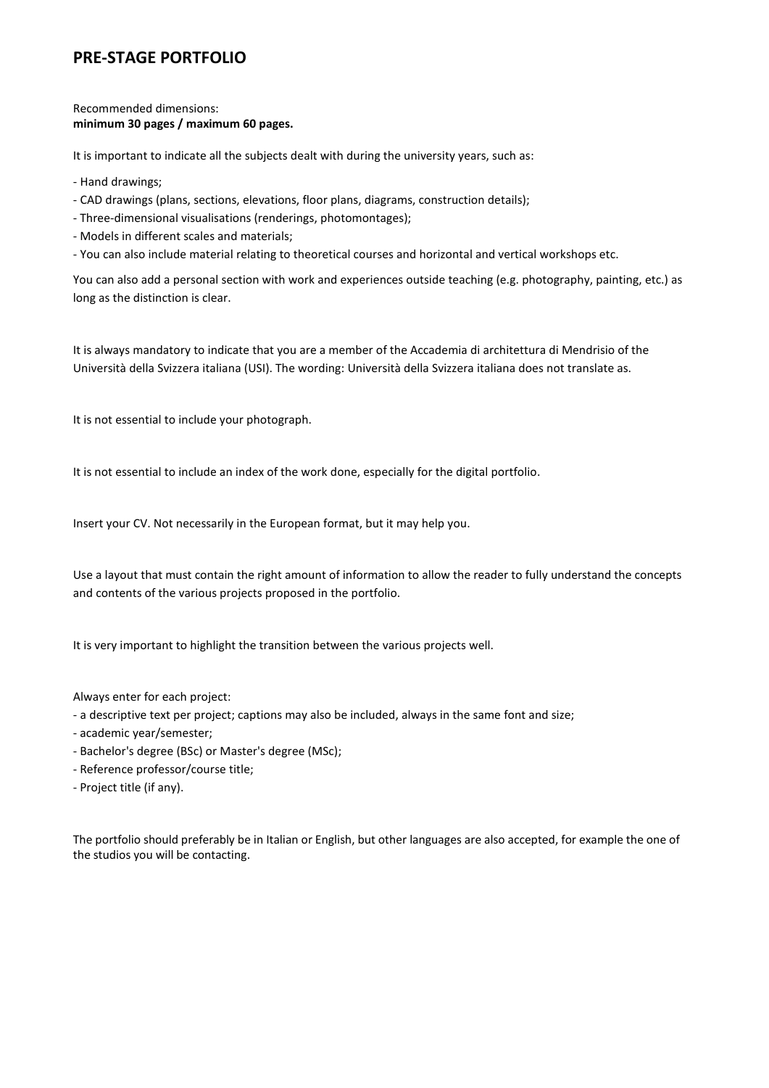### **PRE-STAGE PORTFOLIO**

Recommended dimensions: **minimum 30 pages / maximum 60 pages.**

It is important to indicate all the subjects dealt with during the university years, such as:

- Hand drawings;
- CAD drawings (plans, sections, elevations, floor plans, diagrams, construction details);
- Three-dimensional visualisations (renderings, photomontages);
- Models in different scales and materials;
- You can also include material relating to theoretical courses and horizontal and vertical workshops etc.

You can also add a personal section with work and experiences outside teaching (e.g. photography, painting, etc.) as long as the distinction is clear.

It is always mandatory to indicate that you are a member of the Accademia di architettura di Mendrisio of the Università della Svizzera italiana (USI). The wording: Università della Svizzera italiana does not translate as.

It is not essential to include your photograph.

It is not essential to include an index of the work done, especially for the digital portfolio.

Insert your CV. Not necessarily in the European format, but it may help you.

Use a layout that must contain the right amount of information to allow the reader to fully understand the concepts and contents of the various projects proposed in the portfolio.

It is very important to highlight the transition between the various projects well.

Always enter for each project:

- a descriptive text per project; captions may also be included, always in the same font and size;

- academic year/semester;
- Bachelor's degree (BSc) or Master's degree (MSc);
- Reference professor/course title;
- Project title (if any).

The portfolio should preferably be in Italian or English, but other languages are also accepted, for example the one of the studios you will be contacting.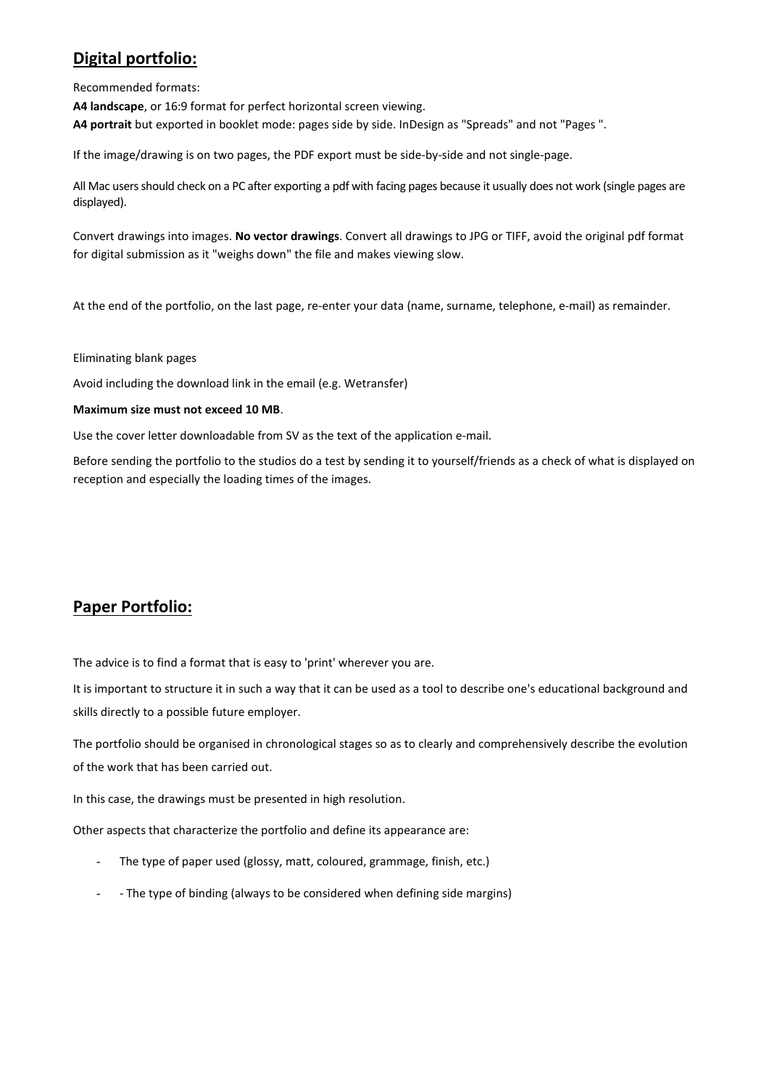# **Digital portfolio:**

Recommended formats:

**A4 landscape**, or 16:9 format for perfect horizontal screen viewing. **A4 portrait** but exported in booklet mode: pages side by side. InDesign as "Spreads" and not "Pages ".

If the image/drawing is on two pages, the PDF export must be side-by-side and not single-page.

All Mac users should check on a PC after exporting a pdf with facing pages because it usually does not work (single pages are displayed).

Convert drawings into images. **No vector drawings**. Convert all drawings to JPG or TIFF, avoid the original pdf format for digital submission as it "weighs down" the file and makes viewing slow.

At the end of the portfolio, on the last page, re-enter your data (name, surname, telephone, e-mail) as remainder.

Eliminating blank pages

Avoid including the download link in the email (e.g. Wetransfer)

#### **Maximum size must not exceed 10 MB**.

Use the cover letter downloadable from SV as the text of the application e-mail.

Before sending the portfolio to the studios do a test by sending it to yourself/friends as a check of what is displayed on reception and especially the loading times of the images.

### **Paper Portfolio:**

The advice is to find a format that is easy to 'print' wherever you are.

It is important to structure it in such a way that it can be used as a tool to describe one's educational background and skills directly to a possible future employer.

The portfolio should be organised in chronological stages so as to clearly and comprehensively describe the evolution of the work that has been carried out.

In this case, the drawings must be presented in high resolution.

Other aspects that characterize the portfolio and define its appearance are:

- The type of paper used (glossy, matt, coloured, grammage, finish, etc.)
- - The type of binding (always to be considered when defining side margins)